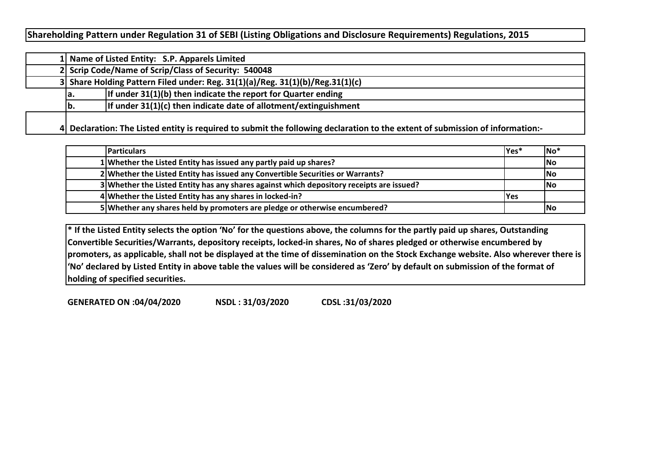**Shareholding Pattern under Regulation 31 of SEBI (Listing Obligations and Disclosure Requirements) Regulations, 2015**

|     | 1 Name of Listed Entity: S.P. Apparels Limited                                                                                |  |  |  |  |  |  |  |  |  |  |  |  |  |
|-----|-------------------------------------------------------------------------------------------------------------------------------|--|--|--|--|--|--|--|--|--|--|--|--|--|
|     | 2 Scrip Code/Name of Scrip/Class of Security: 540048                                                                          |  |  |  |  |  |  |  |  |  |  |  |  |  |
|     | 3 Share Holding Pattern Filed under: Reg. $31(1)(a)/Reg.$ $31(1)(b)/Reg.31(1)(c)$                                             |  |  |  |  |  |  |  |  |  |  |  |  |  |
| la. | If under $31(1)(b)$ then indicate the report for Quarter ending                                                               |  |  |  |  |  |  |  |  |  |  |  |  |  |
| lb. | If under $31(1)(c)$ then indicate date of allotment/extinguishment                                                            |  |  |  |  |  |  |  |  |  |  |  |  |  |
|     | 4 Declaration: The Listed entity is required to submit the following declaration to the extent of submission of information:- |  |  |  |  |  |  |  |  |  |  |  |  |  |

| <b>Particulars</b>                                                                       | lYes*       | $No*$      |
|------------------------------------------------------------------------------------------|-------------|------------|
| 1 Whether the Listed Entity has issued any partly paid up shares?                        |             | <b>INo</b> |
| 2 Whether the Listed Entity has issued any Convertible Securities or Warrants?           |             | <b>INo</b> |
| 3 Whether the Listed Entity has any shares against which depository receipts are issued? |             | <b>INo</b> |
| 4 Whether the Listed Entity has any shares in locked-in?                                 | <b>IYes</b> |            |
| 5 Whether any shares held by promoters are pledge or otherwise encumbered?               |             | l No       |

**\* If the Listed Entity selects the option 'No' for the questions above, the columns for the partly paid up shares, Outstanding Convertible Securities/Warrants, depository receipts, locked-in shares, No of shares pledged or otherwise encumbered by promoters, as applicable, shall not be displayed at the time of dissemination on the Stock Exchange website. Also wherever there is 'No' declared by Listed Entity in above table the values will be considered as 'Zero' by default on submission of the format of holding of specified securities.**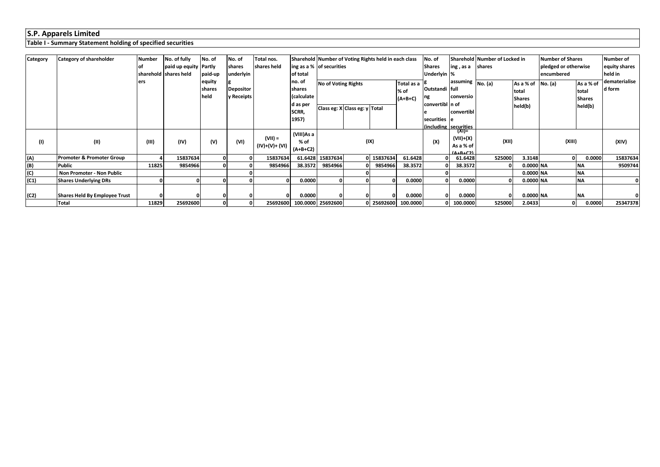## **Table I - Summary Statement holding of specified securities**

| Category | <b>Category of shareholder</b>       | <b>Number</b> | No. of fully          | No. of  | No. of           | Total nos.     |                   |                            | Sharehold Number of Voting Rights held in each class |            |                          | No. of           |                        | Sharehold Number of Locked in |               | <b>Number of Shares</b> |               | <b>Number of</b> |
|----------|--------------------------------------|---------------|-----------------------|---------|------------------|----------------|-------------------|----------------------------|------------------------------------------------------|------------|--------------------------|------------------|------------------------|-------------------------------|---------------|-------------------------|---------------|------------------|
|          |                                      |               | paid up equity Partly |         | shares           | shares held    |                   | ing as a % of securities   |                                                      |            |                          | <b>Shares</b>    | ing, as a              | <b>Ishares</b>                |               | pledged or otherwise    |               | equity shares    |
|          |                                      |               | sharehold shares held | paid-up | underlyin        |                | of total          |                            |                                                      |            |                          | Underlyin %      |                        |                               |               | encumbered              |               | held in          |
|          |                                      | ers           |                       | equity  |                  |                | no. of            | <b>No of Voting Rights</b> |                                                      |            | Total as a <sup>18</sup> |                  | assuming $N_0$ . (a)   |                               | As a % of     | No. (a)                 | As a % of     | dematerialise    |
|          |                                      |               |                       | shares  | <b>Depositor</b> |                | <b>Ishares</b>    |                            |                                                      |            | % of                     | Outstandi full   |                        |                               | total         |                         | total         | d form           |
|          |                                      |               |                       | held    | y Receipts       |                | (calculate        |                            |                                                      |            | $(A+B+C)$                | ng               | conversio              |                               | <b>Shares</b> |                         | <b>Shares</b> |                  |
|          |                                      |               |                       |         |                  |                | d as per<br>SCRR, |                            | Class eg: X Class eg: y Total                        |            |                          | convertibl In of | convertibl             |                               | held(b)       |                         | held(b)       |                  |
|          |                                      |               |                       |         |                  |                | 1957)             |                            |                                                      |            |                          | securities e     |                        |                               |               |                         |               |                  |
|          |                                      |               |                       |         |                  |                |                   |                            |                                                      |            |                          |                  | (including securities  |                               |               |                         |               |                  |
|          |                                      |               |                       |         |                  | $(VII) =$      | (VIII)As a        |                            |                                                      |            |                          |                  | $(XI) =$               |                               |               |                         |               |                  |
| (I)      | (II)                                 | (III)         | (IV)                  | (V)     | (VI)             | (IV)+(V)+ (VI) | % of              |                            | (IX)                                                 |            |                          | (X)              | (VII)+(X)<br>As a % of | (XII)                         |               | (XIII)                  |               | (XIV)            |
|          |                                      |               |                       |         |                  |                | $(A+B+C2)$        |                            |                                                      |            |                          |                  | 111210                 |                               |               |                         |               |                  |
| (A)      | <b>Promoter &amp; Promoter Group</b> |               | 15837634              |         |                  | 15837634       |                   | 61.6428 15837634           |                                                      | 0 15837634 | 61.6428                  |                  | 61.6428                | 525000                        | 3.3148        |                         | 0.0000        | 15837634         |
| (B)      | <b>Public</b>                        | 11825         | 9854966               |         |                  | 9854966        | 38.3572           | 9854966                    |                                                      | 9854966    | 38.3572                  |                  | 38.3572                |                               | 0.0000 NA     |                         | <b>NA</b>     | 9509744          |
| (C)      | Non Promoter - Non Public            |               |                       |         |                  |                |                   |                            |                                                      |            |                          |                  |                        |                               | $0.0000$ NA   |                         | <b>NA</b>     |                  |
| (C1)     | <b>Shares Underlying DRs</b>         |               |                       |         |                  |                | 0.0000            |                            |                                                      |            | 0.0000                   |                  | 0.0000                 |                               | $0.0000$ NA   |                         | <b>NA</b>     |                  |
|          |                                      |               |                       |         |                  |                |                   |                            |                                                      |            |                          |                  |                        |                               |               |                         |               |                  |
| (C2)     | Shares Held By Employee Trust        |               |                       |         |                  |                | 0.0000            |                            |                                                      |            | 0.0000                   |                  | 0.0000                 |                               | 0.0000 NA     |                         | <b>NA</b>     |                  |
|          | Total                                | 11829         | 25692600              |         |                  | 25692600       |                   | 100.0000 25692600          |                                                      | 0 25692600 | 100.0000                 |                  | 100.0000               | 525000                        | 2.0433        | $\Omega$                | 0.0000        | 25347378         |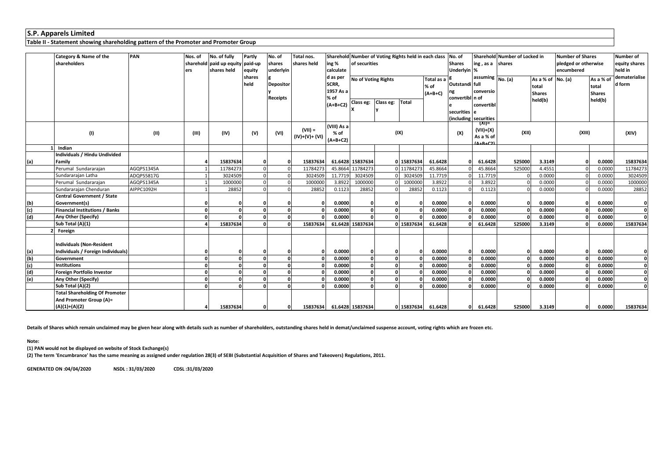**Table II - Statement showing shareholding pattern of the Promoter and Promoter Group**

|                             | Category & Name of the<br>shareholders                           | PAN        | Nos. of<br>ers | No. of fully<br>sharehold paid up equity paid-up<br>shares held | Partly<br>equity<br>shares | No. of<br>shares<br>underlyin       | Total nos.<br>shares held   | ing %<br>calculate<br>d as per    | Sharehold Number of Voting Rights held in each class<br>of securities |                              |            |                                   | No. of<br><b>Shares</b><br>Underlyin %  | ing, as a shares                               | Sharehold Number of Locked in               |                                                        | <b>Number of Shares</b><br>pledged or otherwise<br>encumbered | Number of<br>equity shares<br>held in<br>dematerialise |              |
|-----------------------------|------------------------------------------------------------------|------------|----------------|-----------------------------------------------------------------|----------------------------|-------------------------------------|-----------------------------|-----------------------------------|-----------------------------------------------------------------------|------------------------------|------------|-----------------------------------|-----------------------------------------|------------------------------------------------|---------------------------------------------|--------------------------------------------------------|---------------------------------------------------------------|--------------------------------------------------------|--------------|
|                             |                                                                  |            |                |                                                                 | held                       | <b>Depositor</b><br><b>Receipts</b> |                             | SCRR,<br>1957 As a<br>% of        | <b>No of Voting Rights</b>                                            |                              |            | Total as a B<br>% of<br>$(A+B+C)$ | Outstandi full<br>ng<br>convertibl n of | conversio                                      | assuming $\boxed{\mathsf{No}.(\mathsf{a})}$ | As a % of No. (a)<br>total<br><b>Shares</b><br>held(b) |                                                               | As a % of<br>total<br><b>Shares</b><br>held(b)         | d form       |
|                             |                                                                  |            |                |                                                                 |                            |                                     |                             | $(A+B+C2)$                        | Class eg: Class eg:                                                   |                              | Total      |                                   | securities                              | convertibl<br>le<br>(including securities      |                                             |                                                        |                                                               |                                                        |              |
|                             | (1)                                                              | (II)       | (III)          | (IV)                                                            | (V)                        | (VI)                                | $(VII) =$<br>(IV)+(V)+ (VI) | (VIII) As a<br>% of<br>$(A+B+C2)$ |                                                                       |                              | (IX)       |                                   | (X)                                     | (XI)=<br>$(VII)+(X)$<br>As a % of<br>$A+BA-CD$ | (XII)                                       |                                                        | (XIII)                                                        |                                                        | (XIV)        |
|                             | Indian                                                           |            |                |                                                                 |                            |                                     |                             |                                   |                                                                       |                              |            |                                   |                                         |                                                |                                             |                                                        |                                                               |                                                        |              |
|                             | Individuals / Hindu Undivided                                    |            |                |                                                                 |                            |                                     |                             |                                   |                                                                       |                              |            |                                   |                                         |                                                |                                             |                                                        |                                                               |                                                        |              |
| (a)                         | Family                                                           |            | $\Delta$       | 15837634                                                        | $\Omega$                   | $\Omega$                            | 15837634                    |                                   | 61.6428 15837634                                                      |                              | 0 15837634 | 61.6428                           |                                         | 61.6428                                        | 525000                                      | 3.3149                                                 | n                                                             | 0.0000                                                 | 15837634     |
|                             | Perumal Sundararajan                                             | AGQPS1345A |                | 11784273                                                        | $\Omega$                   |                                     | 11784273                    | 45.8664                           | 11784273                                                              |                              | 0 11784273 | 45.8664                           |                                         | 45.8664                                        | 525000                                      | 4.4551                                                 |                                                               | 0.0000                                                 | 11784273     |
|                             | Sundararajan Latha                                               | ADQPS5817G |                | 3024509                                                         |                            |                                     | 3024509                     | 11.7719                           | 3024509                                                               |                              | 3024509    | 11.7719                           |                                         | 11.7719                                        |                                             | 0.0000                                                 |                                                               | 0.0000                                                 | 3024509      |
|                             | Perumal Sundararajan                                             | AGQPS1345A |                | 1000000                                                         |                            |                                     | 1000000                     | 3.8922                            | 1000000                                                               |                              | 1000000    | 3.8922                            |                                         | 3.8922                                         |                                             | 0.0000                                                 |                                                               | 0.0000                                                 | 1000000      |
|                             | Sundararajan Chenduran                                           | AIPPC1092H |                | 28852                                                           |                            |                                     | 28852                       | 0.1123                            | 28852                                                                 | $\Omega$                     | 28852      | 0.1123                            |                                         | 0.1123                                         |                                             | 0.0000                                                 |                                                               | 0.0000                                                 | 28852        |
|                             | <b>Central Government / State</b>                                |            |                |                                                                 |                            |                                     |                             |                                   |                                                                       |                              |            |                                   |                                         |                                                |                                             |                                                        |                                                               |                                                        |              |
|                             | Government(s)<br><b>Financial Institutions / Banks</b>           |            | $\Omega$       | O                                                               | $\Omega$                   | $\Omega$                            |                             | 0.0000<br>0.0000                  | 0<br>$\Omega$                                                         | <sup>0</sup><br>$\mathbf{0}$ |            | 0.0000<br>0.0000                  |                                         | 0.0000<br>0.0000                               | $\Omega$                                    | 0.0000<br>0.0000                                       | <sup>o</sup>                                                  | 0.0000<br>0.0000                                       | $\mathbf{0}$ |
| $\frac{1}{2}$<br>(c)<br>(d) | Any Other (Specify)                                              |            | $\Omega$       |                                                                 |                            |                                     |                             | 0.0000                            | 0                                                                     | $\mathbf{r}$                 |            | 0.0000                            |                                         | 0.0000                                         |                                             | 0.0000                                                 |                                                               | 0.0000                                                 | $\mathbf{0}$ |
|                             | Sub Total (A)(1)                                                 |            |                | 15837634                                                        |                            |                                     | 15837634                    |                                   | 61.6428 15837634                                                      |                              | 0 15837634 | 61.6428                           |                                         | 61.6428                                        | 525000                                      | 3.3149                                                 |                                                               | 0.0000                                                 | 15837634     |
|                             | Foreign                                                          |            |                |                                                                 |                            |                                     |                             |                                   |                                                                       |                              |            |                                   |                                         |                                                |                                             |                                                        |                                                               |                                                        |              |
|                             | <b>Individuals (Non-Resident</b>                                 |            |                |                                                                 |                            |                                     |                             |                                   |                                                                       |                              |            |                                   |                                         |                                                |                                             |                                                        |                                                               |                                                        |              |
| $\frac{(a)}{(b)}$           | Individuals / Foreign Individuals)                               |            | $\Omega$       |                                                                 | $\Omega$                   |                                     |                             | 0.0000                            | $\mathbf{0}$                                                          | <sup>0</sup>                 | n          | 0.0000                            |                                         | 0.0000                                         | $\Omega$                                    | 0.0000                                                 | $\Omega$                                                      | 0.0000                                                 |              |
|                             | Government                                                       |            | $\Omega$       |                                                                 | $\Omega$                   |                                     |                             | 0.0000                            | $\Omega$                                                              | $\Omega$                     |            | 0.0000                            |                                         | 0.0000                                         |                                             | 0.0000                                                 |                                                               | 0.0000                                                 | $\mathbf{0}$ |
|                             | <b>Institutions</b>                                              |            | $\Omega$       |                                                                 | $\Omega$                   |                                     |                             | 0.0000                            | $\Omega$                                                              | $\mathbf{0}$                 |            | 0.0000                            |                                         | 0.0000                                         |                                             | 0.0000                                                 |                                                               | 0.0000                                                 | $\mathbf{0}$ |
| $\frac{1}{2}$               | <b>Foreign Portfolio Investor</b>                                |            | $\Omega$       |                                                                 |                            |                                     |                             | 0.0000                            |                                                                       | $\Omega$                     |            | 0.0000                            |                                         | 0.0000                                         |                                             | 0.0000                                                 |                                                               | 0.0000                                                 | 0            |
|                             | Any Other (Specify)                                              |            | $\Omega$       |                                                                 | $\Omega$                   | $\Omega$                            |                             | 0.0000                            | $\Omega$                                                              | οI                           |            | 0.0000                            |                                         | 0.0000                                         |                                             | 0.0000                                                 |                                                               | 0.0000                                                 | 0            |
|                             | Sub Total (A)(2)                                                 |            | $\Omega$       |                                                                 |                            | $\Omega$                            |                             | 0.0000                            |                                                                       | ΩI                           |            | 0.0000                            |                                         | 0.0000                                         |                                             | 0.0000                                                 |                                                               | 0.0000                                                 | $\mathbf{0}$ |
|                             | <b>Total Shareholding Of Promoter</b><br>And Promoter Group (A)= |            |                |                                                                 |                            |                                     |                             |                                   |                                                                       |                              |            |                                   |                                         |                                                |                                             |                                                        |                                                               |                                                        |              |
|                             | $(A)(1)+(A)(2)$                                                  |            | $\overline{a}$ | 15837634                                                        | $\mathbf{0}$               | $\mathbf{0}$                        | 15837634                    |                                   | 61.6428 15837634                                                      |                              | 0 15837634 | 61.6428                           |                                         | 61.6428<br>0                                   | 525000                                      | 3.3149                                                 | $\mathbf{0}$                                                  | 0.0000                                                 | 15837634     |

**Details of Shares which remain unclaimed may be given hear along with details such as number of shareholders, outstanding shares held in demat/unclaimed suspense account, voting rights which are frozen etc.**

**Note:** 

**(1) PAN would not be displayed on website of Stock Exchange(s)** 

**(2) The term 'Encumbrance' has the same meaning as assigned under regulation 28(3) of SEBI (Substantial Acquisition of Shares and Takeovers) Regulations, 2011.**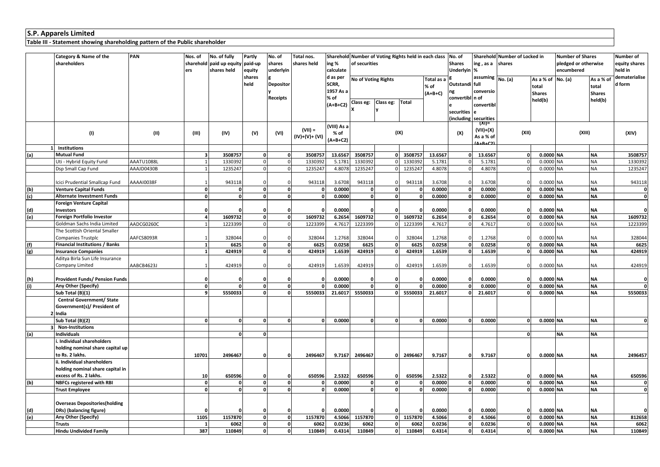**Table III - Statement showing shareholding pattern of the Public shareholder**

|               | Category & Name of the<br>shareholders                          | PAN        | Nos. of        | No. of fully<br>sharehold paid up equity | Partly<br>paid-up | No. of<br>shares         | Total nos.<br>shares held | ing %              | Sharehold Number of Voting Rights held in each class<br>of securities |                          |              |                         | No. of<br><b>Shares</b> | Sharehold Number of Locked in<br>ing, as a<br>shares |              |                        | Number of Shares<br>pledged or otherwise | Number of<br>equity shares |                    |
|---------------|-----------------------------------------------------------------|------------|----------------|------------------------------------------|-------------------|--------------------------|---------------------------|--------------------|-----------------------------------------------------------------------|--------------------------|--------------|-------------------------|-------------------------|------------------------------------------------------|--------------|------------------------|------------------------------------------|----------------------------|--------------------|
|               |                                                                 |            | ers            | shares held                              | equity            | underlyin                |                           | calculate          |                                                                       |                          |              |                         | Underlyin %             |                                                      |              |                        | encumbered                               |                            | held in            |
|               |                                                                 |            |                |                                          | shares            |                          |                           | d as per           | No of Voting Rights                                                   |                          |              | Total as a <sup>8</sup> |                         | assuming $\boxed{\text{No. (a)}}$                    |              | As a % of              | No. (a)                                  | As a % of                  | dematerialise      |
|               |                                                                 |            |                |                                          | held              | Depositor                |                           | SCRR,              |                                                                       |                          |              | % of                    | Outstandi full          |                                                      |              | total                  |                                          | total                      | d form             |
|               |                                                                 |            |                |                                          |                   |                          |                           | 1957 As a          |                                                                       |                          |              | $(A+B+C)$               | ng                      | conversio                                            |              | <b>Shares</b>          |                                          | <b>Shares</b>              |                    |
|               |                                                                 |            |                |                                          |                   | <b>Receipts</b>          |                           | % of<br>$(A+B+C2)$ | Class eg:                                                             | Class eg:                | Total        |                         | convertibl              | n of<br>convertibl                                   |              | held(b)                |                                          | held(b)                    |                    |
|               |                                                                 |            |                |                                          |                   |                          |                           |                    |                                                                       |                          |              |                         | securities e            |                                                      |              |                        |                                          |                            |                    |
|               |                                                                 |            |                |                                          |                   |                          |                           |                    |                                                                       |                          |              |                         |                         | (including securities                                |              |                        |                                          |                            |                    |
|               |                                                                 |            |                |                                          |                   |                          |                           | (VIII) As a        |                                                                       |                          |              |                         |                         | -(ХІ)                                                |              |                        |                                          |                            |                    |
|               | (1)                                                             | (II)       | (III)          | (IV)                                     | (V)               | (VI)                     | $(VII) =$                 | % of               |                                                                       |                          | (IX)         |                         | (X)                     | $(VII)+(X)$                                          | (XII)        |                        | (XIII)                                   |                            | (XIV)              |
|               |                                                                 |            |                |                                          |                   |                          | (IV)+(V)+ (VI)            | $(A+B+C2)$         |                                                                       |                          |              |                         |                         | As a % of<br>A, B, C                                 |              |                        |                                          |                            |                    |
|               | Institutions                                                    |            |                |                                          |                   |                          |                           |                    |                                                                       |                          |              |                         |                         |                                                      |              |                        |                                          |                            |                    |
| (a)           | <b>Mutual Fund</b>                                              |            | 3              | 3508757                                  | $\mathbf 0$       | 0                        | 3508757                   | 13.6567            | 3508757                                                               | $\mathbf{0}$             | 3508757      | 13.6567                 | οl                      | 13.6567                                              | $\mathbf{0}$ | 0.0000 NA              |                                          | <b>NA</b>                  | 3508757            |
|               | Uti - Hybrid Equity Fund                                        | AAATU1088L |                | 1330392                                  | $\Omega$          |                          | 1330392                   | 5.1781             | 1330392                                                               | $\overline{0}$           | 1330392      | 5.1781                  |                         | 5.1781                                               | $\Omega$     | 0.0000 NA              |                                          | <b>NA</b>                  | 1330392            |
|               | Dsp Small Cap Fund                                              | AAAJD0430B | $\mathbf{1}$   | 1235247                                  | $\mathbf 0$       | $\mathbf 0$              | 1235247                   | 4.8078             | 1235247                                                               | $\overline{0}$           | 1235247      | 4.8078                  | $\mathbf 0$             | 4.8078                                               | $\mathbf 0$  | 0.0000 NA              |                                          | <b>NA</b>                  | 1235247            |
|               |                                                                 |            |                |                                          |                   |                          |                           |                    |                                                                       |                          |              |                         |                         |                                                      |              |                        |                                          |                            |                    |
|               | cici Prudential Smallcap Fund<br><b>Venture Capital Funds</b>   | AAAAI0038F | $\mathbf{0}$   | 943118<br>$\Omega$                       | $\mathbf 0$       | $\Omega$<br>$\mathbf{o}$ | 943118                    | 3.6708<br>0.0000   | 943118<br>$\mathbf{0}$                                                | $\Omega$<br>$\mathbf{0}$ | 943118       | 3.6708<br>0.0000        | $\Omega$                | 3.6708<br>0.0000                                     | $\mathbf{0}$ | 0.0000 NA<br>0.0000 NA |                                          | <b>NA</b><br><b>NA</b>     | 943118<br>$\Omega$ |
| (b)<br>(c)    | <b>Alternate Investment Funds</b>                               |            | $\mathbf{0}$   | $\Omega$                                 | $\mathbf{0}$      | $\mathbf{0}$             | $\Omega$                  | 0.0000             | $\mathbf 0$                                                           | $\mathbf{o}$             | $\Omega$     | 0.0000                  | $\mathbf{0}$            | 0.0000                                               | $\mathbf{0}$ | 0.0000 NA              |                                          | <b>NA</b>                  | $\mathbf{o}$       |
|               | <b>Foreign Venture Capital</b>                                  |            |                |                                          |                   |                          |                           |                    |                                                                       |                          |              |                         |                         |                                                      |              |                        |                                          |                            |                    |
| (d)           | <b>Investors</b>                                                |            | $\Omega$       |                                          | $\Omega$          | 0                        |                           | 0.0000             | $\mathbf{0}$                                                          | $\mathbf{0}$             |              | 0.0000                  | $\Omega$                | 0.0000                                               |              | 0.0000 NA              |                                          | <b>NA</b>                  | $\mathbf{o}$       |
| (e)           | Foreign Portfolio Investor                                      |            | $\overline{4}$ | 1609732                                  | $\mathbf 0$       | $\mathbf{0}$             | 1609732                   | 6.2654             | 1609732                                                               | $\mathbf{0}$             | 1609732      | 6.2654                  | $\mathbf{0}$            | 6.2654                                               | $\mathbf{0}$ | 0.0000 NA              |                                          | <b>NA</b>                  | 1609732            |
|               | Goldman Sachs India Limited                                     | AADCG0260C | $\mathbf{1}$   | 1223399                                  | $\Omega$          |                          | 1223399                   | 4.7617             | 1223399                                                               | $\overline{0}$           | 1223399      | 4.7617                  |                         | 4.7617                                               |              | 0.0000 NA              |                                          | <b>NA</b>                  | 1223399            |
|               | The Scottish Oriental Smaller                                   |            |                |                                          |                   |                          |                           |                    |                                                                       |                          |              |                         |                         |                                                      |              |                        |                                          |                            |                    |
|               | <b>Companies Trustplc</b>                                       | AAFCS8093R |                | 328044                                   |                   |                          | 328044                    | 1.2768             | 328044                                                                | $\Omega$                 | 328044       | 1.2768                  | $\Omega$                | 1.2768                                               |              | 0.0000 NA              |                                          | <b>NA</b>                  | 328044             |
| $\frac{f}{g}$ | <b>Financial Institutions / Banks</b>                           |            | $\mathbf{1}$   | 6625                                     | $\mathbf 0$       | $\mathbf{o}$             | 6625                      | 0.0258             | 6625                                                                  | $\mathbf{0}$             | 6625         | 0.0258                  | $\mathbf{0}$            | 0.0258                                               | $\mathbf{0}$ | 0.0000 NA              |                                          | <b>NA</b>                  | 6625               |
|               | <b>Insurance Companies</b>                                      |            | $\mathbf{1}$   | 424919                                   | $\mathbf{0}$      | $\mathbf{0}$             | 424919                    | 1.6539             | 424919                                                                | $\mathbf{o}$             | 424919       | 1.6539                  | $\Omega$                | 1.6539                                               | $\mathbf{0}$ | 0.0000 NA              |                                          | <b>NA</b>                  | 424919             |
|               | Aditya Birla Sun Life Insurance                                 |            |                |                                          |                   |                          |                           |                    |                                                                       |                          |              |                         |                         |                                                      |              |                        |                                          |                            |                    |
|               | Company Limited                                                 | AABCB4623J | $\mathbf{1}$   | 424919                                   | $\mathbf 0$       | $\Omega$                 | 424919                    | 1.6539             | 424919                                                                | $\mathbf 0$              | 424919       | 1.6539                  | $\mathbf 0$             | 1.6539                                               |              | 0.0000 NA              |                                          | <b>NA</b>                  | 424919             |
|               | <b>Provident Funds/ Pension Funds</b>                           |            | $\Omega$       |                                          |                   |                          |                           | 0.0000             | 0                                                                     | 0                        |              | 0.0000                  | $\Omega$                | 0.0000                                               | $\mathbf{0}$ | 0.0000 NA              |                                          | <b>NA</b>                  | 0                  |
| (h)<br>(i)    | Any Other (Specify)                                             |            | $\mathbf 0$    | $\Omega$                                 | $\mathbf 0$       | $\mathbf{o}$             |                           | 0.0000             | $\mathbf{0}$                                                          | $\mathbf{0}$             | O            | 0.0000                  | $\mathbf{0}$            | 0.0000                                               | $\mathbf{0}$ | 0.0000 NA              |                                          | <b>NA</b>                  | $\Omega$           |
|               | Sub Total (B)(1)                                                |            | 9              | 5550033                                  | $\Omega$          | $\mathbf{0}$             | 5550033                   | 21.6017            | 5550033                                                               | 0                        | 5550033      | 21.6017                 |                         | 21.6017                                              | $\mathbf{0}$ | 0.0000 NA              |                                          | <b>NA</b>                  | 5550033            |
|               | <b>Central Government/ State</b>                                |            |                |                                          |                   |                          |                           |                    |                                                                       |                          |              |                         |                         |                                                      |              |                        |                                          |                            |                    |
|               | Government(s)/ President of                                     |            |                |                                          |                   |                          |                           |                    |                                                                       |                          |              |                         |                         |                                                      |              |                        |                                          |                            |                    |
|               | 2 India                                                         |            |                |                                          |                   |                          |                           |                    |                                                                       |                          |              |                         |                         |                                                      |              |                        |                                          |                            |                    |
|               | Sub Total (B)(2)                                                |            | $\mathbf 0$    | $\Omega$                                 | $\mathbf{0}$      | $\mathbf{o}$             | $\Omega$                  | 0.0000             | 0                                                                     | $\mathbf{0}$             | $\Omega$     | 0.0000                  | $\mathbf{0}$            | 0.0000                                               | $\mathbf{0}$ | 0.0000 NA              |                                          | <b>NA</b>                  | $\Omega$           |
|               | <b>Non-Institutions</b>                                         |            |                |                                          |                   |                          |                           |                    |                                                                       |                          |              |                         |                         |                                                      |              |                        |                                          |                            |                    |
| (a)           | <b>Individuals</b>                                              |            |                | $\Omega$                                 | $\Omega$          |                          |                           |                    |                                                                       |                          |              |                         |                         |                                                      | $\mathbf{0}$ |                        | <b>NA</b>                                | <b>NA</b>                  |                    |
|               | . Individual shareholders                                       |            |                |                                          |                   |                          |                           |                    |                                                                       |                          |              |                         |                         |                                                      |              |                        |                                          |                            |                    |
|               | holding nominal share capital up                                |            |                |                                          |                   |                          |                           |                    |                                                                       |                          |              |                         |                         |                                                      |              |                        |                                          |                            |                    |
|               | to Rs. 2 lakhs.                                                 |            | 10701          | 2496467                                  | $\mathbf{0}$      | $\mathbf{0}$             | 2496467                   | 9.7167             | 2496467                                                               | $\Omega$                 | 2496467      | 9.7167                  | $\mathbf{0}$            | 9.7167                                               | $\mathbf{0}$ | 0.0000 NA              |                                          | <b>NA</b>                  | 2496457            |
|               | ii. Individual shareholders<br>holding nominal share capital in |            |                |                                          |                   |                          |                           |                    |                                                                       |                          |              |                         |                         |                                                      |              |                        |                                          |                            |                    |
|               | excess of Rs. 2 lakhs.                                          |            | 10             | 650596                                   | $\Omega$          | $\Omega$                 | 650596                    | 2.5322             | 650596                                                                | $\mathbf{0}$             | 650596       | 2.5322                  | $\mathbf{0}$            | 2.5322                                               | οI           | 0.0000 NA              |                                          | <b>NA</b>                  | 650596             |
| (b)           | <b>NBFCs registered with RBI</b>                                |            | $\mathbf{0}$   | $\Omega$                                 | $\mathbf{0}$      | $\mathbf{0}$             |                           | 0.0000             | 0                                                                     | $\mathbf{0}$             | $\mathbf{0}$ | 0.0000                  | $\mathbf{0}$            | 0.0000                                               | $\mathbf{0}$ | 0.0000 NA              |                                          | <b>NA</b>                  | $\mathbf{o}$       |
|               | <b>Trust Employee</b>                                           |            | $\mathbf{0}$   | $\Omega$                                 | $\Omega$          | $\mathbf{o}$             |                           | 0.0000             | $\mathbf{0}$                                                          | $\mathbf{o}$             | $\Omega$     | 0.0000                  |                         | 0.0000                                               | $\Omega$     | 0.0000 NA              |                                          | <b>NA</b>                  | $\mathbf{0}$       |
|               |                                                                 |            |                |                                          |                   |                          |                           |                    |                                                                       |                          |              |                         |                         |                                                      |              |                        |                                          |                            |                    |
|               | <b>Overseas Depositories (holding</b>                           |            |                |                                          |                   |                          |                           |                    |                                                                       |                          |              |                         |                         |                                                      |              |                        |                                          |                            |                    |
|               | DRs) (balancing figure)                                         |            | $\Omega$       |                                          |                   | 0                        |                           | 0.0000             |                                                                       | 0                        |              | 0.0000                  | 0                       | 0.0000                                               |              | 0.0000 NA              |                                          | <b>NA</b>                  | $\Omega$           |
| (d)<br>(e)    | Any Other (Specify)                                             |            | 1105           | 1157870                                  | $\mathbf 0$       | $\mathbf{o}$             | 1157870                   | 4.5066             | 1157870                                                               |                          | 0 1157870    | 4.5066                  |                         | 4.5066                                               | $\mathbf{0}$ | 0.0000 NA              |                                          | <b>NA</b>                  | 812658             |
|               | <b>Trusts</b>                                                   |            | $\mathbf{1}$   | 6062                                     | 0                 | $\mathbf 0$              | 6062                      | 0.0236             | 6062                                                                  | $\mathbf{0}$             | 6062         | 0.0236                  | 0                       | 0.0236                                               | $\mathbf{0}$ | 0.0000 NA              |                                          | <b>NA</b>                  | 6062               |
|               | <b>Hindu Undivided Family</b>                                   |            | 387            | 110849                                   | $\mathbf 0$       | $\mathbf{0}$             | 110849                    | 0.4314             | 110849                                                                | $\mathbf{0}$             | 110849       | 0.4314                  | $\mathbf{0}$            | 0.4314                                               | $\mathbf{0}$ | 0.0000 NA              |                                          | <b>NA</b>                  | 110849             |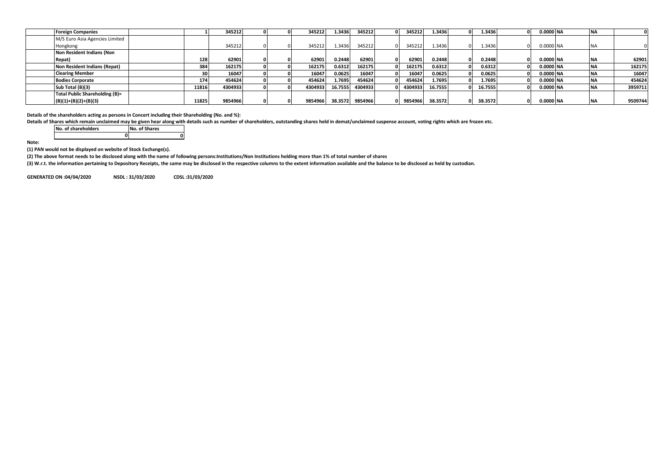| <b>Foreign Companies</b>       |       | 345212  |  | 345212  | 1.3436  | 345212  | 345212  | 1.3436  | 1.3436  | 0.0000 NA | <b>NIA</b><br>IΨA |         |
|--------------------------------|-------|---------|--|---------|---------|---------|---------|---------|---------|-----------|-------------------|---------|
| M/S Euro Asia Agencies Limited |       |         |  |         |         |         |         |         |         |           |                   |         |
| Hongkong                       |       | 345212  |  | 345212  | 1.3436  | 345212  | 345212  | 1.3436  | 1.3436  | 0.0000 NA | <b>NA</b>         |         |
| Non Resident Indians (Non      |       |         |  |         |         |         |         |         |         |           |                   |         |
| Repat)                         | 128   | 62901   |  | 62901   | 0.2448  | 62901   | 62901   | 0.2448  | 0.2448  | 0.0000 NA | ΝA                | 62901   |
| Non Resident Indians (Repat)   | 384   | 162175  |  | 162175  | 0.6312  | 162175  | 162175  | 0.6312  | 0.6312  | 0.0000 NA | NΑ                | 162175  |
| <b>Clearing Member</b>         | 30    | 16047   |  | 16047   | 0.0625  | 16047   | 16047   | 0.0625  | 0.0625  | 0.0000 NA |                   | 16047   |
| <b>Bodies Corporate</b>        | 174   | 454624  |  | 454624  | 1.7695  | 454624  | 454624  | 1.7695  | 1.7695  | 0.0000 NA | ΝA                | 454624  |
| Sub Total (B)(3)               | 11816 | 4304933 |  | 4304933 | 16.7555 | 4304933 | 4304933 | 16.7555 | 16.7555 | 0.0000 NA | <b>NA</b>         | 3959711 |
| Total Public Shareholding (B)= |       |         |  |         |         |         |         |         |         |           |                   |         |
| $(B)(1)+(B)(2)+(B)(3)$         | 11825 | 9854966 |  | 9854966 | 38.3572 | 9854966 | 9854966 | 38.3572 | 38.3572 | 0.0000 NA |                   | 9509744 |

**Details of the shareholders acting as persons in Concert including their Shareholding (No. and %):**

Details of Shares which remain unclaimed may be given hear along with details such as number of shareholders, outstanding shares held in demat/unclaimed suspense account, voting rights which are frozen etc.<br>
No. of shareho

**No. of shareholders No. of Shareholders 0 0**

**Note:** 

**(1) PAN would not be displayed on website of Stock Exchange(s).** 

**(2) The above format needs to be disclosed along with the name of following persons:Institutions/Non Institutions holding more than 1% of total number of shares**

**(3) W.r.t. the information pertaining to Depository Receipts, the same may be disclosed in the respective columns to the extent information available and the balance to be disclosed as held by custodian.**